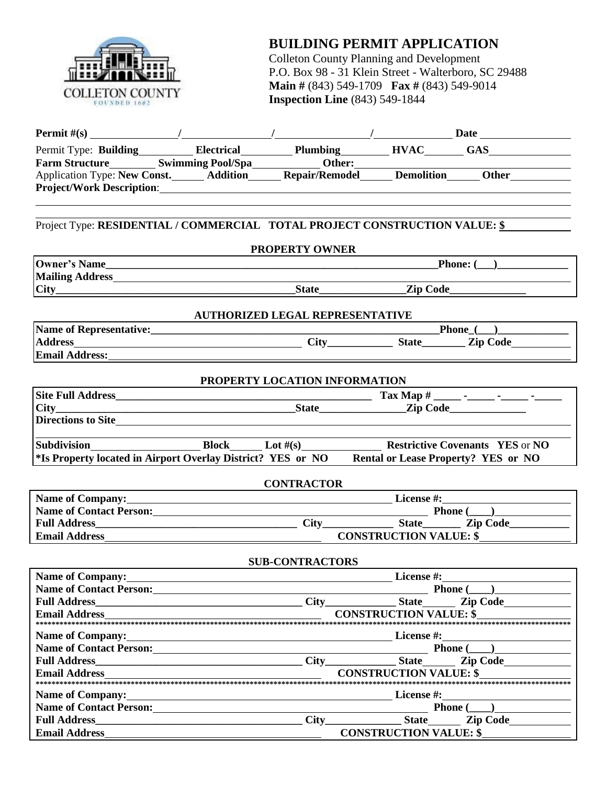

## **BUILDING PERMIT APPLICATION**

Colleton County Planning and Development P.O. Box 98 - 31 Klein Street - Walterboro, SC 29488 **Main #** (843) 549-1709 **Fax #** (843) 549-9014 **Inspection Line** (843) 549-1844

|                                         |                                                                                                                      |                                        | Permit Type: Building Electrical Plumbing HVAC GAS                                                                                                                                                                             |
|-----------------------------------------|----------------------------------------------------------------------------------------------------------------------|----------------------------------------|--------------------------------------------------------------------------------------------------------------------------------------------------------------------------------------------------------------------------------|
|                                         |                                                                                                                      |                                        |                                                                                                                                                                                                                                |
|                                         |                                                                                                                      |                                        | Farm Structure Swimming Pool/Spa  Manuel Cher: Manuel Cher Leonardon Type: New Const. Manuel Application Type: New Const. Manuel Addition  Manuel Repair/Remodel Manuel Demolition  Manuel Demolition  Manuel Demolition  Othe |
|                                         |                                                                                                                      |                                        |                                                                                                                                                                                                                                |
|                                         |                                                                                                                      |                                        |                                                                                                                                                                                                                                |
|                                         |                                                                                                                      |                                        | Project Type: RESIDENTIAL / COMMERCIAL TOTAL PROJECT CONSTRUCTION VALUE: \$                                                                                                                                                    |
|                                         |                                                                                                                      | <b>PROPERTY OWNER</b>                  |                                                                                                                                                                                                                                |
|                                         |                                                                                                                      |                                        | <b>Phone:</b> $($                                                                                                                                                                                                              |
|                                         | <b>Mailing Address_William Community Community Community</b>                                                         |                                        |                                                                                                                                                                                                                                |
|                                         |                                                                                                                      |                                        |                                                                                                                                                                                                                                |
|                                         |                                                                                                                      | <b>AUTHORIZED LEGAL REPRESENTATIVE</b> |                                                                                                                                                                                                                                |
|                                         |                                                                                                                      |                                        |                                                                                                                                                                                                                                |
|                                         |                                                                                                                      |                                        |                                                                                                                                                                                                                                |
| Email Address:<br><u>Email Address:</u> |                                                                                                                      |                                        |                                                                                                                                                                                                                                |
|                                         |                                                                                                                      | PROPERTY LOCATION INFORMATION          |                                                                                                                                                                                                                                |
|                                         |                                                                                                                      |                                        |                                                                                                                                                                                                                                |
|                                         |                                                                                                                      |                                        |                                                                                                                                                                                                                                |
|                                         | Directions to Site                                                                                                   |                                        |                                                                                                                                                                                                                                |
|                                         |                                                                                                                      |                                        |                                                                                                                                                                                                                                |
|                                         |                                                                                                                      |                                        | Subdivision<br>*Is Property located in Airport Overlay District? YES or NO<br>*Is Property? YES or NO<br>*Is Property? YES or NO                                                                                               |
|                                         |                                                                                                                      | <b>CONTRACTOR</b>                      |                                                                                                                                                                                                                                |
|                                         |                                                                                                                      |                                        | Name of Company: License #: License #:                                                                                                                                                                                         |
|                                         |                                                                                                                      |                                        |                                                                                                                                                                                                                                |
|                                         |                                                                                                                      |                                        |                                                                                                                                                                                                                                |
|                                         |                                                                                                                      |                                        |                                                                                                                                                                                                                                |
|                                         |                                                                                                                      | <b>SUB-CONTRACTORS</b>                 |                                                                                                                                                                                                                                |
| <b>Name of Company:</b>                 |                                                                                                                      |                                        | License #:                                                                                                                                                                                                                     |
|                                         | Name of Contact Person:                                                                                              |                                        | <b>Phone</b> $($                                                                                                                                                                                                               |
| <b>Full Address</b>                     |                                                                                                                      | City                                   | <b>State</b><br><b>Zip Code</b>                                                                                                                                                                                                |
| <b>Email Address</b>                    |                                                                                                                      |                                        | <b>CONSTRUCTION VALUE: \$</b>                                                                                                                                                                                                  |
| <b>Name of Company:</b>                 | <u> 1980 - Johann Barn, mars ann an t-Amhain Aonaich an t-Aonaich an t-Aonaich ann an t-Aonaich ann an t-Aonaich</u> |                                        | License #:                                                                                                                                                                                                                     |
|                                         | Name of Contact Person:<br><u>Letter and the contract person:</u>                                                    |                                        | Phone (                                                                                                                                                                                                                        |
| <b>Full Address</b>                     |                                                                                                                      | City                                   | <b>State</b><br><b>Zip Code</b>                                                                                                                                                                                                |
| <b>Email Address</b>                    |                                                                                                                      |                                        | <b>CONSTRUCTION VALUE: \$</b>                                                                                                                                                                                                  |
|                                         |                                                                                                                      |                                        |                                                                                                                                                                                                                                |
| Name of Company:                        |                                                                                                                      |                                        | License #:                                                                                                                                                                                                                     |
|                                         |                                                                                                                      |                                        | Phone (                                                                                                                                                                                                                        |
| <b>Full Address</b>                     |                                                                                                                      | City                                   | <b>State</b><br>Zip Code                                                                                                                                                                                                       |
| <b>Email Address</b>                    |                                                                                                                      |                                        | <b>CONSTRUCTION VALUE: \$</b>                                                                                                                                                                                                  |